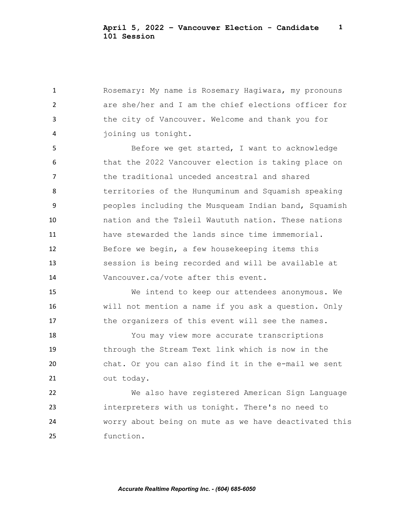Rosemary: My name is Rosemary Hagiwara, my pronouns are she/her and I am the chief elections officer for the city of Vancouver. Welcome and thank you for joining us tonight.

5 Before we get started, I want to acknowledge that the 2022 Vancouver election is taking place on the traditional unceded ancestral and shared territories of the Hunquminum and Squamish speaking peoples including the Musqueam Indian band, Squamish nation and the Tsleil Waututh nation. These nations have stewarded the lands since time immemorial. Before we begin, a few housekeeping items this session is being recorded and will be available at Vancouver.ca/vote after this event.

 We intend to keep our attendees anonymous. We will not mention a name if you ask a question. Only 17 the organizers of this event will see the names.

 You may view more accurate transcriptions through the Stream Text link which is now in the chat. Or you can also find it in the e-mail we sent out today.

 We also have registered American Sign Language interpreters with us tonight. There's no need to worry about being on mute as we have deactivated this function.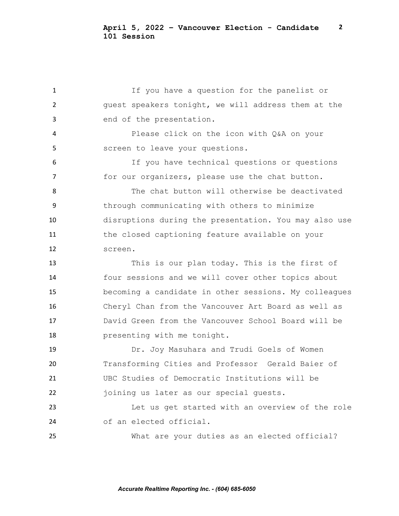If you have a question for the panelist or guest speakers tonight, we will address them at the end of the presentation. Please click on the icon with Q&A on your screen to leave your questions. If you have technical questions or questions 7 for our organizers, please use the chat button. The chat button will otherwise be deactivated through communicating with others to minimize disruptions during the presentation. You may also use the closed captioning feature available on your screen. This is our plan today. This is the first of four sessions and we will cover other topics about becoming a candidate in other sessions. My colleagues Cheryl Chan from the Vancouver Art Board as well as David Green from the Vancouver School Board will be presenting with me tonight. Dr. Joy Masuhara and Trudi Goels of Women Transforming Cities and Professor Gerald Baier of UBC Studies of Democratic Institutions will be joining us later as our special guests. Let us get started with an overview of the role of an elected official. What are your duties as an elected official?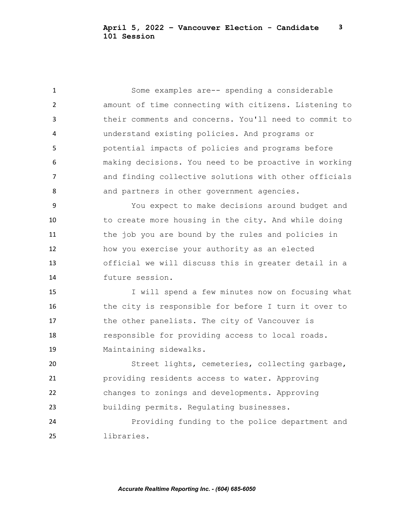Some examples are-- spending a considerable amount of time connecting with citizens. Listening to their comments and concerns. You'll need to commit to understand existing policies. And programs or potential impacts of policies and programs before making decisions. You need to be proactive in working and finding collective solutions with other officials 8 and partners in other government agencies.

 You expect to make decisions around budget and 10 to create more housing in the city. And while doing the job you are bound by the rules and policies in how you exercise your authority as an elected official we will discuss this in greater detail in a future session.

 I will spend a few minutes now on focusing what 16 the city is responsible for before I turn it over to 17 the other panelists. The city of Vancouver is responsible for providing access to local roads. Maintaining sidewalks.

 Street lights, cemeteries, collecting garbage, providing residents access to water. Approving changes to zonings and developments. Approving building permits. Regulating businesses.

 Providing funding to the police department and libraries.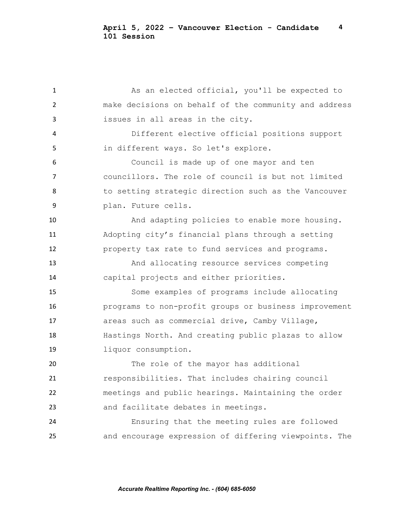1 As an elected official, you'll be expected to make decisions on behalf of the community and address issues in all areas in the city. Different elective official positions support in different ways. So let's explore. Council is made up of one mayor and ten councillors. The role of council is but not limited to setting strategic direction such as the Vancouver plan. Future cells. And adapting policies to enable more housing. Adopting city's financial plans through a setting property tax rate to fund services and programs. And allocating resource services competing capital projects and either priorities. Some examples of programs include allocating programs to non-profit groups or business improvement areas such as commercial drive, Camby Village, Hastings North. And creating public plazas to allow liquor consumption. The role of the mayor has additional responsibilities. That includes chairing council meetings and public hearings. Maintaining the order and facilitate debates in meetings. Ensuring that the meeting rules are followed and encourage expression of differing viewpoints. The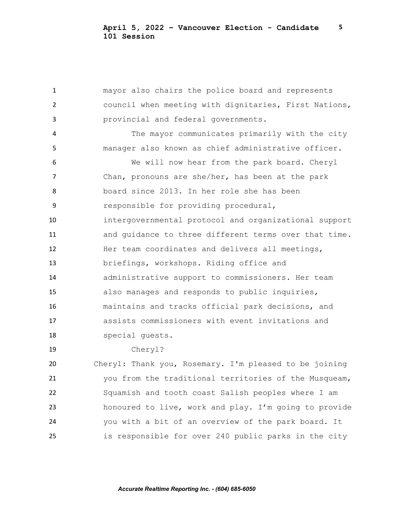mayor also chairs the police board and represents council when meeting with dignitaries, First Nations, provincial and federal governments. The mayor communicates primarily with the city manager also known as chief administrative officer. We will now hear from the park board. Cheryl Chan, pronouns are she/her, has been at the park board since 2013. In her role she has been responsible for providing procedural, intergovernmental protocol and organizational support 11 and quidance to three different terms over that time. Her team coordinates and delivers all meetings, briefings, workshops. Riding office and administrative support to commissioners. Her team also manages and responds to public inquiries, maintains and tracks official park decisions, and assists commissioners with event invitations and special guests. Cheryl? Cheryl: Thank you, Rosemary. I'm pleased to be joining you from the traditional territories of the Musqueam, Squamish and tooth coast Salish peoples where I am honoured to live, work and play. I'm going to provide you with a bit of an overview of the park board. It is responsible for over 240 public parks in the city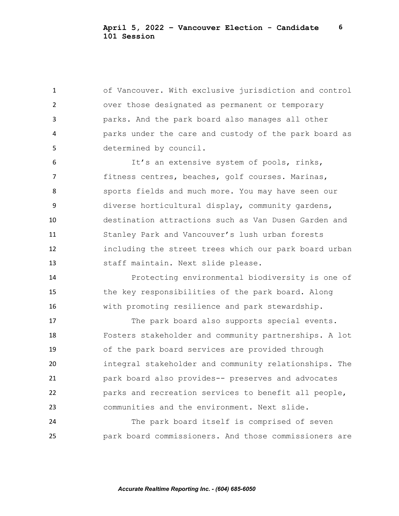of Vancouver. With exclusive jurisdiction and control over those designated as permanent or temporary parks. And the park board also manages all other parks under the care and custody of the park board as determined by council.

 It's an extensive system of pools, rinks, fitness centres, beaches, golf courses. Marinas, sports fields and much more. You may have seen our diverse horticultural display, community gardens, destination attractions such as Van Dusen Garden and Stanley Park and Vancouver's lush urban forests including the street trees which our park board urban staff maintain. Next slide please.

 Protecting environmental biodiversity is one of the key responsibilities of the park board. Along with promoting resilience and park stewardship.

 The park board also supports special events. Fosters stakeholder and community partnerships. A lot of the park board services are provided through integral stakeholder and community relationships. The park board also provides-- preserves and advocates parks and recreation services to benefit all people, communities and the environment. Next slide.

 The park board itself is comprised of seven park board commissioners. And those commissioners are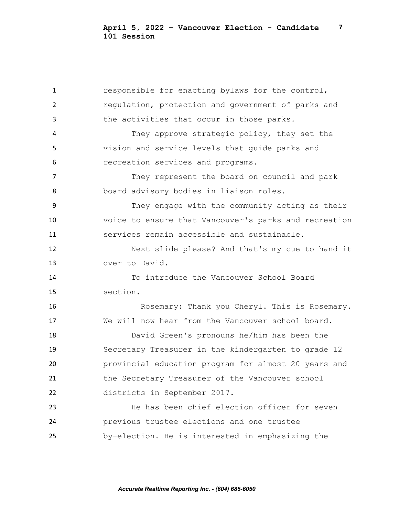responsible for enacting bylaws for the control, regulation, protection and government of parks and the activities that occur in those parks. They approve strategic policy, they set the vision and service levels that guide parks and recreation services and programs. They represent the board on council and park board advisory bodies in liaison roles. They engage with the community acting as their voice to ensure that Vancouver's parks and recreation services remain accessible and sustainable. Next slide please? And that's my cue to hand it over to David. To introduce the Vancouver School Board section. 16 Rosemary: Thank you Cheryl. This is Rosemary. We will now hear from the Vancouver school board. David Green's pronouns he/him has been the Secretary Treasurer in the kindergarten to grade 12 provincial education program for almost 20 years and the Secretary Treasurer of the Vancouver school districts in September 2017. He has been chief election officer for seven previous trustee elections and one trustee by-election. He is interested in emphasizing the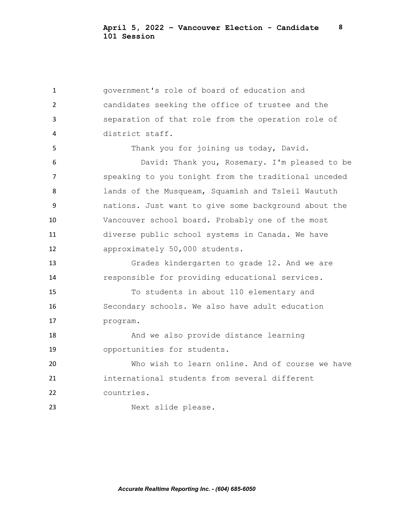government's role of board of education and candidates seeking the office of trustee and the separation of that role from the operation role of district staff. Thank you for joining us today, David. David: Thank you, Rosemary. I'm pleased to be speaking to you tonight from the traditional unceded lands of the Musqueam, Squamish and Tsleil Waututh nations. Just want to give some background about the Vancouver school board. Probably one of the most diverse public school systems in Canada. We have approximately 50,000 students. Grades kindergarten to grade 12. And we are responsible for providing educational services. To students in about 110 elementary and Secondary schools. We also have adult education program. And we also provide distance learning opportunities for students. Who wish to learn online. And of course we have international students from several different countries. Next slide please.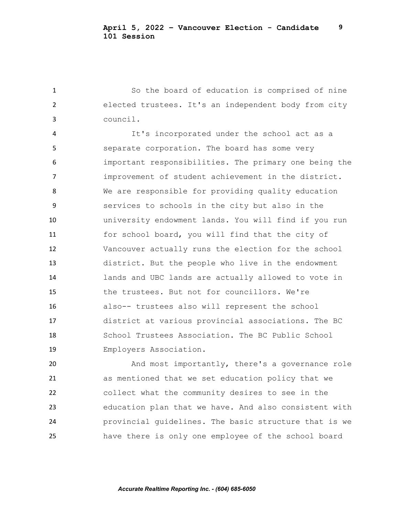So the board of education is comprised of nine elected trustees. It's an independent body from city council.

 It's incorporated under the school act as a separate corporation. The board has some very important responsibilities. The primary one being the improvement of student achievement in the district. We are responsible for providing quality education services to schools in the city but also in the university endowment lands. You will find if you run for school board, you will find that the city of Vancouver actually runs the election for the school district. But the people who live in the endowment lands and UBC lands are actually allowed to vote in the trustees. But not for councillors. We're also-- trustees also will represent the school district at various provincial associations. The BC School Trustees Association. The BC Public School Employers Association.

 And most importantly, there's a governance role as mentioned that we set education policy that we collect what the community desires to see in the education plan that we have. And also consistent with provincial guidelines. The basic structure that is we have there is only one employee of the school board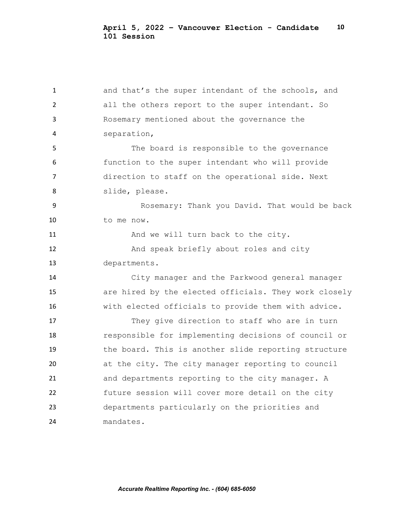1 and that's the super intendant of the schools, and all the others report to the super intendant. So Rosemary mentioned about the governance the separation, The board is responsible to the governance function to the super intendant who will provide direction to staff on the operational side. Next slide, please. Rosemary: Thank you David. That would be back to me now. 11 And we will turn back to the city. And speak briefly about roles and city departments. City manager and the Parkwood general manager are hired by the elected officials. They work closely with elected officials to provide them with advice. They give direction to staff who are in turn responsible for implementing decisions of council or the board. This is another slide reporting structure at the city. The city manager reporting to council and departments reporting to the city manager. A future session will cover more detail on the city departments particularly on the priorities and mandates.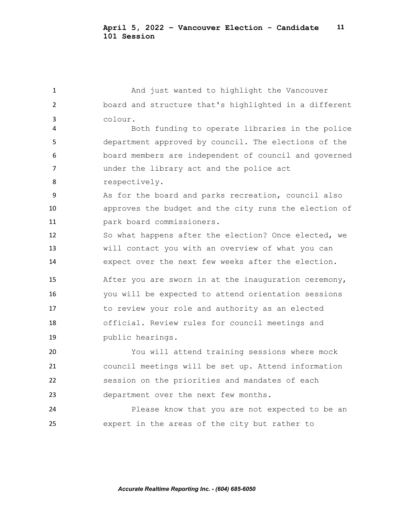| $\mathbf{1}$   | And just wanted to highlight the Vancouver            |
|----------------|-------------------------------------------------------|
| $\overline{2}$ | board and structure that's highlighted in a different |
| 3              | colour.                                               |
| 4              | Both funding to operate libraries in the police       |
| 5              | department approved by council. The elections of the  |
| 6              | board members are independent of council and governed |
| 7              | under the library act and the police act              |
| 8              | respectively.                                         |
| 9              | As for the board and parks recreation, council also   |
| 10             | approves the budget and the city runs the election of |
| 11             | park board commissioners.                             |
| 12             | So what happens after the election? Once elected, we  |
| 13             | will contact you with an overview of what you can     |
| 14             | expect over the next few weeks after the election.    |
|                |                                                       |
| 15             | After you are sworn in at the inauguration ceremony,  |
| 16             | you will be expected to attend orientation sessions   |
| 17             | to review your role and authority as an elected       |
| 18             | official. Review rules for council meetings and       |
| 19             | public hearings.                                      |
| 20             | You will attend training sessions where mock          |
| 21             | council meetings will be set up. Attend information   |
| 22             | session on the priorities and mandates of each        |
| 23             | department over the next few months.                  |
| 24             | Please know that you are not expected to be an        |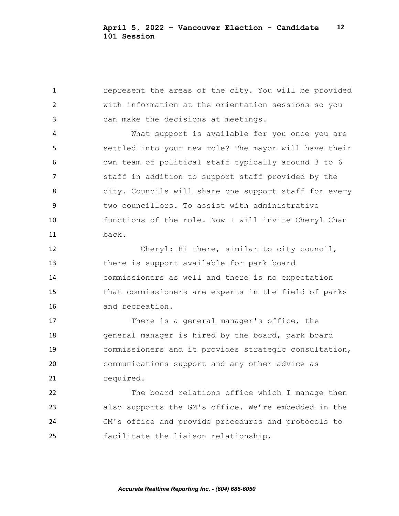**1** represent the areas of the city. You will be provided with information at the orientation sessions so you can make the decisions at meetings.

 What support is available for you once you are settled into your new role? The mayor will have their own team of political staff typically around 3 to 6 staff in addition to support staff provided by the city. Councils will share one support staff for every two councillors. To assist with administrative functions of the role. Now I will invite Cheryl Chan back.

 Cheryl: Hi there, similar to city council, there is support available for park board commissioners as well and there is no expectation that commissioners are experts in the field of parks and recreation.

 There is a general manager's office, the general manager is hired by the board, park board commissioners and it provides strategic consultation, communications support and any other advice as 21 required.

 The board relations office which I manage then also supports the GM's office. We're embedded in the GM's office and provide procedures and protocols to facilitate the liaison relationship,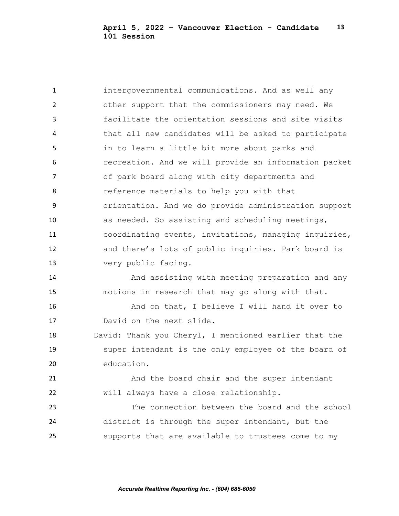intergovernmental communications. And as well any other support that the commissioners may need. We facilitate the orientation sessions and site visits that all new candidates will be asked to participate in to learn a little bit more about parks and recreation. And we will provide an information packet of park board along with city departments and reference materials to help you with that orientation. And we do provide administration support as needed. So assisting and scheduling meetings, coordinating events, invitations, managing inquiries, and there's lots of public inquiries. Park board is very public facing. And assisting with meeting preparation and any motions in research that may go along with that. And on that, I believe I will hand it over to David on the next slide. David: Thank you Cheryl, I mentioned earlier that the super intendant is the only employee of the board of education. And the board chair and the super intendant will always have a close relationship. The connection between the board and the school district is through the super intendant, but the supports that are available to trustees come to my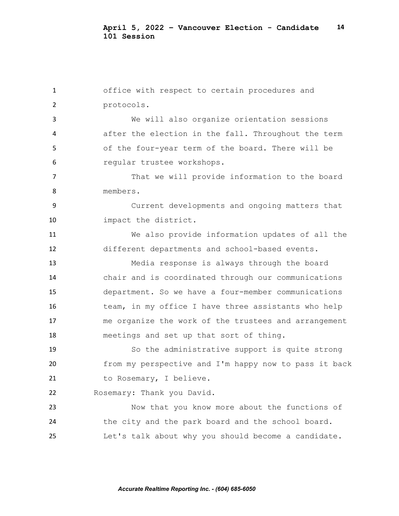office with respect to certain procedures and protocols. We will also organize orientation sessions after the election in the fall. Throughout the term of the four-year term of the board. There will be regular trustee workshops. 7 That we will provide information to the board members. Current developments and ongoing matters that impact the district. We also provide information updates of all the different departments and school-based events. Media response is always through the board chair and is coordinated through our communications department. So we have a four-member communications team, in my office I have three assistants who help me organize the work of the trustees and arrangement meetings and set up that sort of thing. So the administrative support is quite strong from my perspective and I'm happy now to pass it back 21 to Rosemary, I believe. Rosemary: Thank you David. Now that you know more about the functions of the city and the park board and the school board. Let's talk about why you should become a candidate.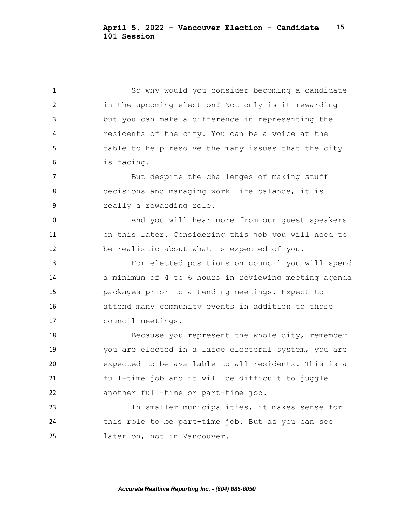So why would you consider becoming a candidate in the upcoming election? Not only is it rewarding but you can make a difference in representing the residents of the city. You can be a voice at the 5 table to help resolve the many issues that the city is facing.

7 But despite the challenges of making stuff decisions and managing work life balance, it is really a rewarding role.

 And you will hear more from our guest speakers on this later. Considering this job you will need to be realistic about what is expected of you.

 For elected positions on council you will spend a minimum of 4 to 6 hours in reviewing meeting agenda packages prior to attending meetings. Expect to attend many community events in addition to those council meetings.

18 Because you represent the whole city, remember you are elected in a large electoral system, you are expected to be available to all residents. This is a full-time job and it will be difficult to juggle another full-time or part-time job.

 In smaller municipalities, it makes sense for this role to be part-time job. But as you can see later on, not in Vancouver.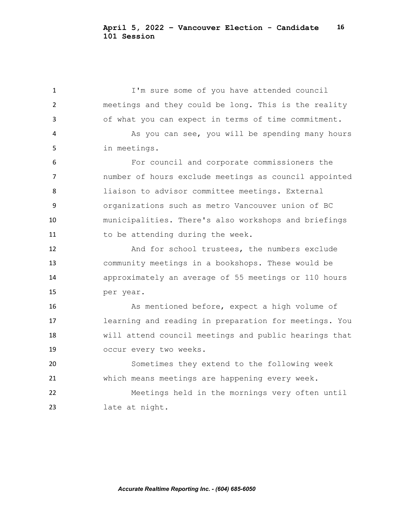I'm sure some of you have attended council meetings and they could be long. This is the reality of what you can expect in terms of time commitment. 4 As you can see, you will be spending many hours in meetings. For council and corporate commissioners the number of hours exclude meetings as council appointed liaison to advisor committee meetings. External organizations such as metro Vancouver union of BC municipalities. There's also workshops and briefings 11 to be attending during the week. And for school trustees, the numbers exclude community meetings in a bookshops. These would be approximately an average of 55 meetings or 110 hours per year. As mentioned before, expect a high volume of learning and reading in preparation for meetings. You will attend council meetings and public hearings that occur every two weeks. Sometimes they extend to the following week which means meetings are happening every week. Meetings held in the mornings very often until late at night.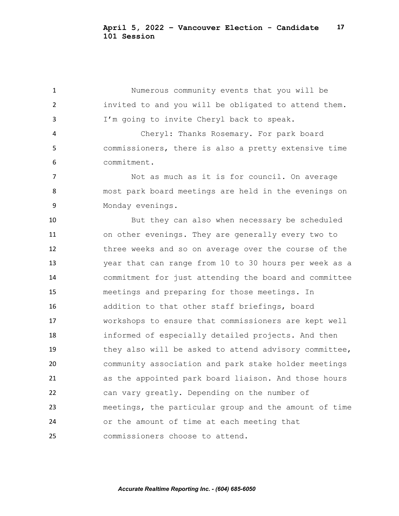Numerous community events that you will be invited to and you will be obligated to attend them. I'm going to invite Cheryl back to speak.

 Cheryl: Thanks Rosemary. For park board commissioners, there is also a pretty extensive time commitment.

7 Not as much as it is for council. On average most park board meetings are held in the evenings on 9 Monday evenings.

 But they can also when necessary be scheduled on other evenings. They are generally every two to three weeks and so on average over the course of the year that can range from 10 to 30 hours per week as a commitment for just attending the board and committee meetings and preparing for those meetings. In addition to that other staff briefings, board workshops to ensure that commissioners are kept well informed of especially detailed projects. And then they also will be asked to attend advisory committee, community association and park stake holder meetings as the appointed park board liaison. And those hours can vary greatly. Depending on the number of meetings, the particular group and the amount of time or the amount of time at each meeting that commissioners choose to attend.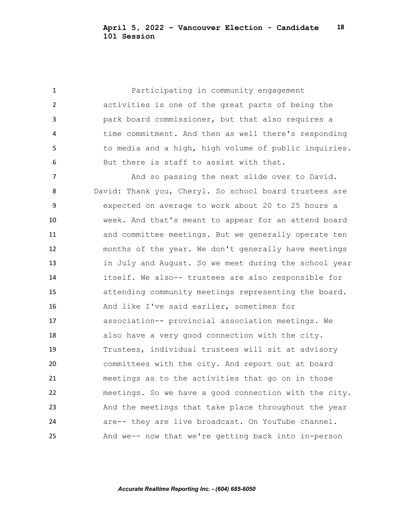Participating in community engagement activities is one of the great parts of being the park board commissioner, but that also requires a time commitment. And then as well there's responding to media and a high, high volume of public inquiries. But there is staff to assist with that. 7 And so passing the next slide over to David. David: Thank you, Cheryl. So school board trustees are expected on average to work about 20 to 25 hours a week. And that's meant to appear for an attend board and committee meetings. But we generally operate ten months of the year. We don't generally have meetings in July and August. So we meet during the school year itself. We also-- trustees are also responsible for attending community meetings representing the board. And like I've said earlier, sometimes for association-- provincial association meetings. We also have a very good connection with the city. Trustees, individual trustees will sit at advisory committees with the city. And report out at board meetings as to the activities that go on in those meetings. So we have a good connection with the city. And the meetings that take place throughout the year are-- they are live broadcast. On YouTube channel. And we-- now that we're getting back into in-person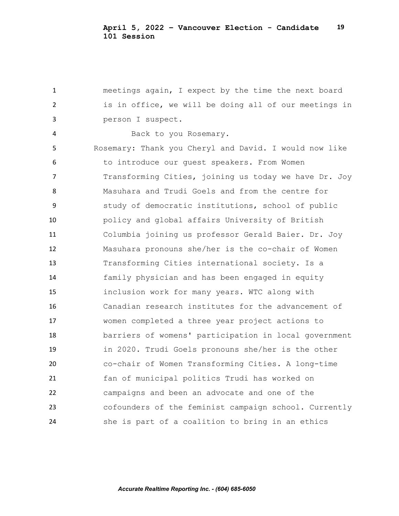meetings again, I expect by the time the next board is in office, we will be doing all of our meetings in person I suspect. Back to you Rosemary. Rosemary: Thank you Cheryl and David. I would now like to introduce our guest speakers. From Women 7 Transforming Cities, joining us today we have Dr. Joy Masuhara and Trudi Goels and from the centre for study of democratic institutions, school of public policy and global affairs University of British Columbia joining us professor Gerald Baier. Dr. Joy Masuhara pronouns she/her is the co-chair of Women Transforming Cities international society. Is a family physician and has been engaged in equity inclusion work for many years. WTC along with Canadian research institutes for the advancement of women completed a three year project actions to barriers of womens' participation in local government in 2020. Trudi Goels pronouns she/her is the other co-chair of Women Transforming Cities. A long-time fan of municipal politics Trudi has worked on campaigns and been an advocate and one of the cofounders of the feminist campaign school. Currently she is part of a coalition to bring in an ethics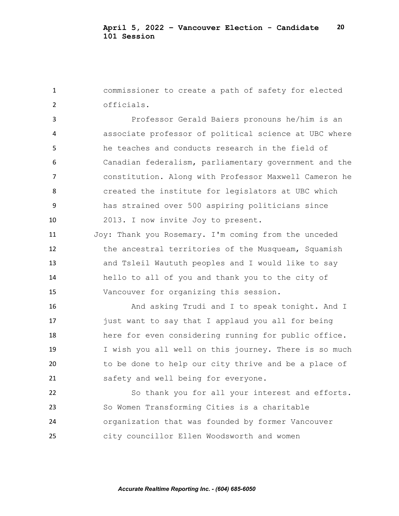commissioner to create a path of safety for elected officials.

 Professor Gerald Baiers pronouns he/him is an associate professor of political science at UBC where he teaches and conducts research in the field of Canadian federalism, parliamentary government and the constitution. Along with Professor Maxwell Cameron he created the institute for legislators at UBC which has strained over 500 aspiring politicians since 2013. I now invite Joy to present.

 Joy: Thank you Rosemary. I'm coming from the unceded the ancestral territories of the Musqueam, Squamish and Tsleil Waututh peoples and I would like to say hello to all of you and thank you to the city of Vancouver for organizing this session.

16 And asking Trudi and I to speak tonight. And I just want to say that I applaud you all for being here for even considering running for public office. I wish you all well on this journey. There is so much to be done to help our city thrive and be a place of safety and well being for everyone.

 So thank you for all your interest and efforts. So Women Transforming Cities is a charitable organization that was founded by former Vancouver city councillor Ellen Woodsworth and women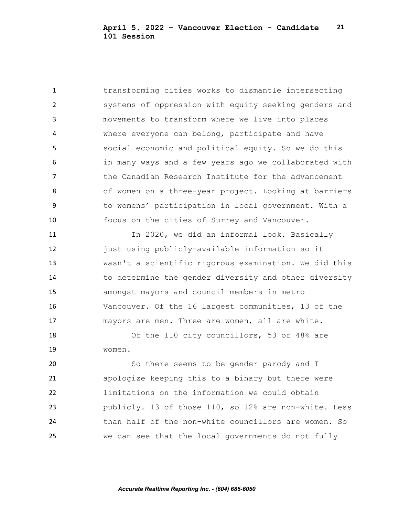transforming cities works to dismantle intersecting systems of oppression with equity seeking genders and movements to transform where we live into places where everyone can belong, participate and have social economic and political equity. So we do this in many ways and a few years ago we collaborated with **the Canadian Research Institute for the advancement**  of women on a three-year project. Looking at barriers to womens' participation in local government. With a focus on the cities of Surrey and Vancouver.

11 In 2020, we did an informal look. Basically just using publicly-available information so it wasn't a scientific rigorous examination. We did this 14 to determine the gender diversity and other diversity amongst mayors and council members in metro Vancouver. Of the 16 largest communities, 13 of the mayors are men. Three are women, all are white.

18 Of the 110 city councillors, 53 or 48% are women.

 So there seems to be gender parody and I apologize keeping this to a binary but there were limitations on the information we could obtain publicly. 13 of those 110, so 12% are non-white. Less than half of the non-white councillors are women. So we can see that the local governments do not fully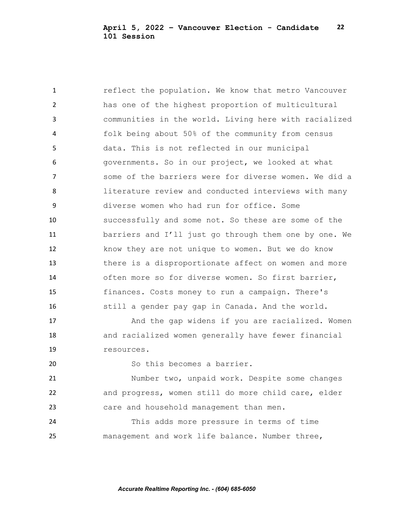**1** reflect the population. We know that metro Vancouver has one of the highest proportion of multicultural communities in the world. Living here with racialized folk being about 50% of the community from census data. This is not reflected in our municipal governments. So in our project, we looked at what some of the barriers were for diverse women. We did a literature review and conducted interviews with many diverse women who had run for office. Some successfully and some not. So these are some of the barriers and I'll just go through them one by one. We know they are not unique to women. But we do know there is a disproportionate affect on women and more often more so for diverse women. So first barrier, finances. Costs money to run a campaign. There's still a gender pay gap in Canada. And the world.

17 And the gap widens if you are racialized. Women and racialized women generally have fewer financial resources.

20 So this becomes a barrier.

 Number two, unpaid work. Despite some changes and progress, women still do more child care, elder care and household management than men.

 This adds more pressure in terms of time management and work life balance. Number three,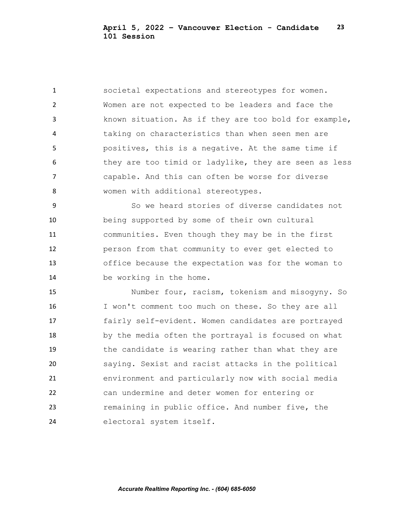societal expectations and stereotypes for women. Women are not expected to be leaders and face the known situation. As if they are too bold for example, taking on characteristics than when seen men are positives, this is a negative. At the same time if 6 they are too timid or ladylike, they are seen as less capable. And this can often be worse for diverse women with additional stereotypes.

 So we heard stories of diverse candidates not being supported by some of their own cultural communities. Even though they may be in the first person from that community to ever get elected to office because the expectation was for the woman to be working in the home.

 Number four, racism, tokenism and misogyny. So I won't comment too much on these. So they are all fairly self-evident. Women candidates are portrayed by the media often the portrayal is focused on what the candidate is wearing rather than what they are saying. Sexist and racist attacks in the political environment and particularly now with social media can undermine and deter women for entering or remaining in public office. And number five, the electoral system itself.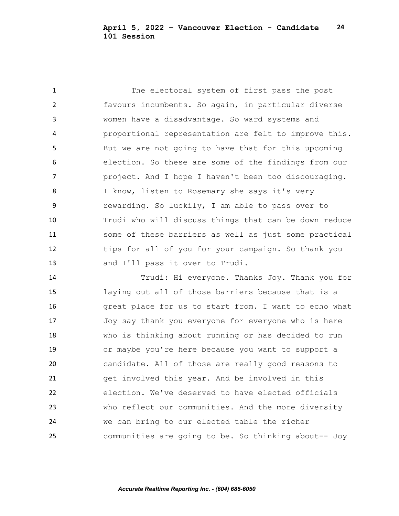The electoral system of first pass the post favours incumbents. So again, in particular diverse women have a disadvantage. So ward systems and proportional representation are felt to improve this. But we are not going to have that for this upcoming election. So these are some of the findings from our project. And I hope I haven't been too discouraging. 8 I know, listen to Rosemary she says it's very rewarding. So luckily, I am able to pass over to Trudi who will discuss things that can be down reduce some of these barriers as well as just some practical 12 tips for all of you for your campaign. So thank you and I'll pass it over to Trudi.

 Trudi: Hi everyone. Thanks Joy. Thank you for laying out all of those barriers because that is a great place for us to start from. I want to echo what Joy say thank you everyone for everyone who is here who is thinking about running or has decided to run or maybe you're here because you want to support a candidate. All of those are really good reasons to get involved this year. And be involved in this election. We've deserved to have elected officials who reflect our communities. And the more diversity we can bring to our elected table the richer communities are going to be. So thinking about-- Joy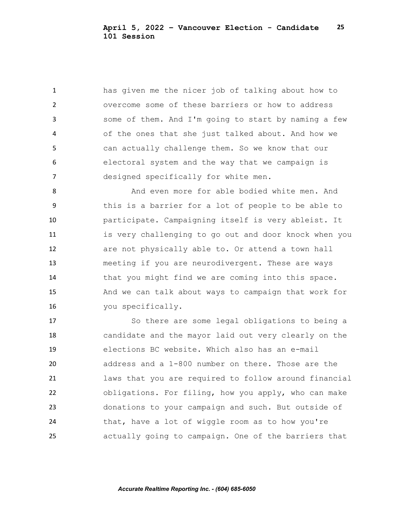has given me the nicer job of talking about how to overcome some of these barriers or how to address some of them. And I'm going to start by naming a few of the ones that she just talked about. And how we can actually challenge them. So we know that our electoral system and the way that we campaign is designed specifically for white men.

8 And even more for able bodied white men. And this is a barrier for a lot of people to be able to participate. Campaigning itself is very ableist. It is very challenging to go out and door knock when you are not physically able to. Or attend a town hall meeting if you are neurodivergent. These are ways 14 that you might find we are coming into this space. And we can talk about ways to campaign that work for you specifically.

 So there are some legal obligations to being a candidate and the mayor laid out very clearly on the elections BC website. Which also has an e-mail address and a 1-800 number on there. Those are the laws that you are required to follow around financial obligations. For filing, how you apply, who can make donations to your campaign and such. But outside of that, have a lot of wiggle room as to how you're actually going to campaign. One of the barriers that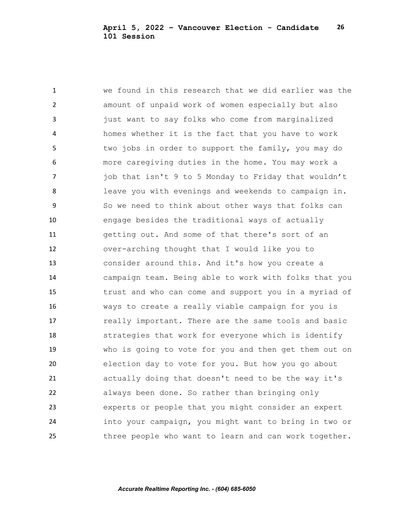we found in this research that we did earlier was the amount of unpaid work of women especially but also just want to say folks who come from marginalized homes whether it is the fact that you have to work 5 two jobs in order to support the family, you may do more caregiving duties in the home. You may work a **job that isn't 9 to 5 Monday to Friday that wouldn't**  leave you with evenings and weekends to campaign in. So we need to think about other ways that folks can engage besides the traditional ways of actually getting out. And some of that there's sort of an over-arching thought that I would like you to consider around this. And it's how you create a campaign team. Being able to work with folks that you trust and who can come and support you in a myriad of ways to create a really viable campaign for you is **really important.** There are the same tools and basic strategies that work for everyone which is identify who is going to vote for you and then get them out on election day to vote for you. But how you go about actually doing that doesn't need to be the way it's always been done. So rather than bringing only experts or people that you might consider an expert into your campaign, you might want to bring in two or three people who want to learn and can work together.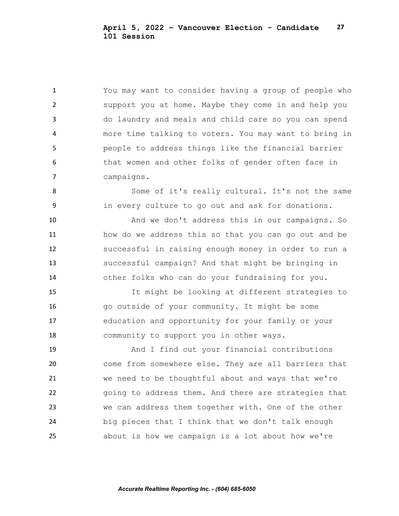You may want to consider having a group of people who support you at home. Maybe they come in and help you do laundry and meals and child care so you can spend more time talking to voters. You may want to bring in people to address things like the financial barrier that women and other folks of gender often face in campaigns.

8 Some of it's really cultural. It's not the same in every culture to go out and ask for donations.

 And we don't address this in our campaigns. So how do we address this so that you can go out and be successful in raising enough money in order to run a successful campaign? And that might be bringing in other folks who can do your fundraising for you.

 It might be looking at different strategies to go outside of your community. It might be some education and opportunity for your family or your community to support you in other ways.

 And I find out your financial contributions come from somewhere else. They are all barriers that we need to be thoughtful about and ways that we're going to address them. And there are strategies that we can address them together with. One of the other big pieces that I think that we don't talk enough about is how we campaign is a lot about how we're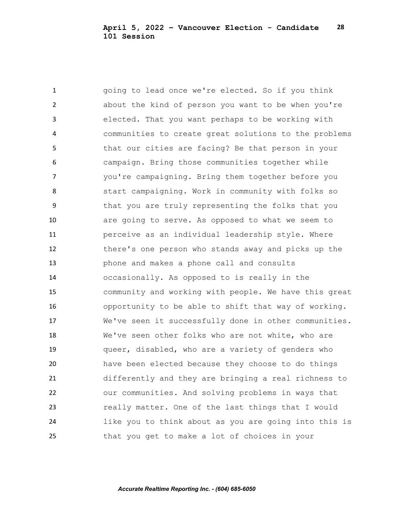going to lead once we're elected. So if you think about the kind of person you want to be when you're elected. That you want perhaps to be working with communities to create great solutions to the problems that our cities are facing? Be that person in your campaign. Bring those communities together while you're campaigning. Bring them together before you start campaigning. Work in community with folks so that you are truly representing the folks that you are going to serve. As opposed to what we seem to perceive as an individual leadership style. Where there's one person who stands away and picks up the phone and makes a phone call and consults occasionally. As opposed to is really in the community and working with people. We have this great opportunity to be able to shift that way of working. We've seen it successfully done in other communities. We've seen other folks who are not white, who are queer, disabled, who are a variety of genders who have been elected because they choose to do things differently and they are bringing a real richness to our communities. And solving problems in ways that really matter. One of the last things that I would like you to think about as you are going into this is that you get to make a lot of choices in your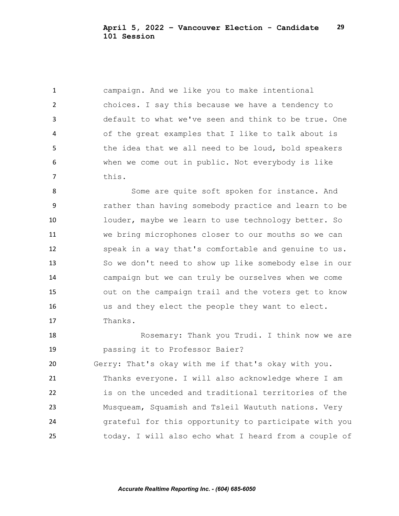campaign. And we like you to make intentional choices. I say this because we have a tendency to default to what we've seen and think to be true. One of the great examples that I like to talk about is 5 the idea that we all need to be loud, bold speakers when we come out in public. Not everybody is like this.

 Some are quite soft spoken for instance. And rather than having somebody practice and learn to be louder, maybe we learn to use technology better. So we bring microphones closer to our mouths so we can speak in a way that's comfortable and genuine to us. So we don't need to show up like somebody else in our campaign but we can truly be ourselves when we come out on the campaign trail and the voters get to know us and they elect the people they want to elect. Thanks.

18 Rosemary: Thank you Trudi. I think now we are passing it to Professor Baier? Gerry: That's okay with me if that's okay with you. Thanks everyone. I will also acknowledge where I am is on the unceded and traditional territories of the Musqueam, Squamish and Tsleil Waututh nations. Very grateful for this opportunity to participate with you today. I will also echo what I heard from a couple of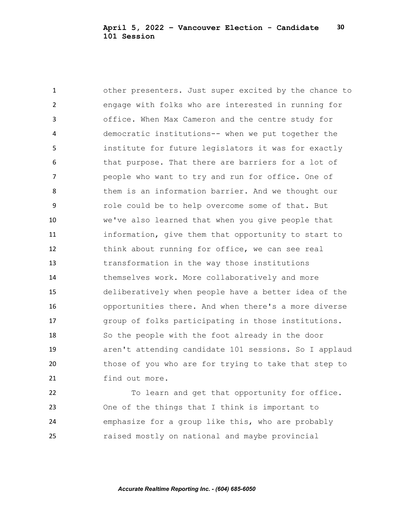other presenters. Just super excited by the chance to engage with folks who are interested in running for office. When Max Cameron and the centre study for democratic institutions-- when we put together the institute for future legislators it was for exactly that purpose. That there are barriers for a lot of people who want to try and run for office. One of 8 them is an information barrier. And we thought our role could be to help overcome some of that. But we've also learned that when you give people that information, give them that opportunity to start to think about running for office, we can see real transformation in the way those institutions themselves work. More collaboratively and more deliberatively when people have a better idea of the opportunities there. And when there's a more diverse group of folks participating in those institutions. So the people with the foot already in the door aren't attending candidate 101 sessions. So I applaud those of you who are for trying to take that step to find out more.

 To learn and get that opportunity for office. One of the things that I think is important to emphasize for a group like this, who are probably raised mostly on national and maybe provincial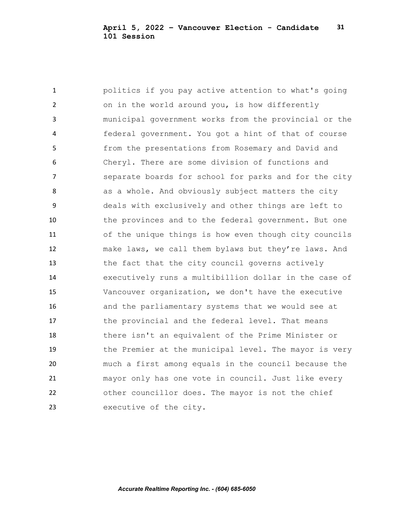politics if you pay active attention to what's going on in the world around you, is how differently municipal government works from the provincial or the federal government. You got a hint of that of course from the presentations from Rosemary and David and Cheryl. There are some division of functions and **Separate boards for school for parks and for the city** 8 as a whole. And obviously subject matters the city deals with exclusively and other things are left to the provinces and to the federal government. But one of the unique things is how even though city councils make laws, we call them bylaws but they're laws. And the fact that the city council governs actively executively runs a multibillion dollar in the case of Vancouver organization, we don't have the executive and the parliamentary systems that we would see at 17 the provincial and the federal level. That means there isn't an equivalent of the Prime Minister or the Premier at the municipal level. The mayor is very much a first among equals in the council because the mayor only has one vote in council. Just like every other councillor does. The mayor is not the chief executive of the city.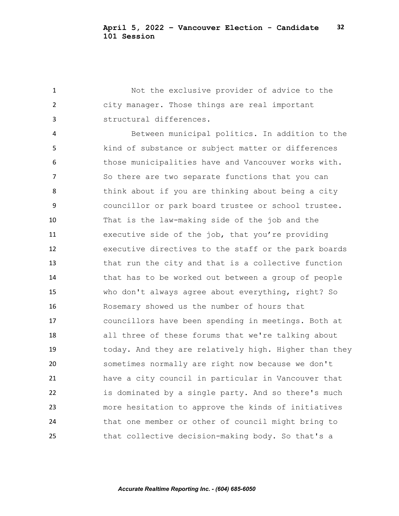Not the exclusive provider of advice to the city manager. Those things are real important structural differences.

 Between municipal politics. In addition to the kind of substance or subject matter or differences 6 those municipalities have and Vancouver works with. 7 So there are two separate functions that you can 8 think about if you are thinking about being a city councillor or park board trustee or school trustee. That is the law-making side of the job and the executive side of the job, that you're providing executive directives to the staff or the park boards that run the city and that is a collective function that has to be worked out between a group of people who don't always agree about everything, right? So Rosemary showed us the number of hours that councillors have been spending in meetings. Both at all three of these forums that we're talking about today. And they are relatively high. Higher than they sometimes normally are right now because we don't have a city council in particular in Vancouver that is dominated by a single party. And so there's much more hesitation to approve the kinds of initiatives that one member or other of council might bring to that collective decision-making body. So that's a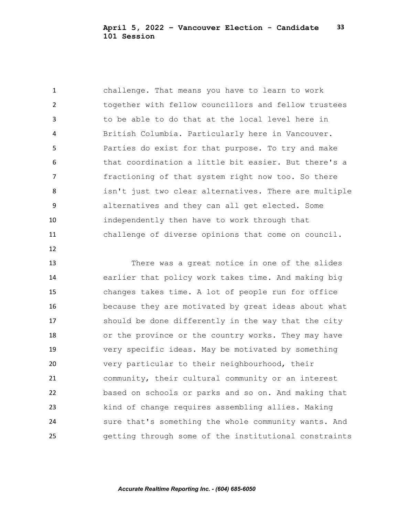challenge. That means you have to learn to work together with fellow councillors and fellow trustees to be able to do that at the local level here in British Columbia. Particularly here in Vancouver. Parties do exist for that purpose. To try and make that coordination a little bit easier. But there's a fractioning of that system right now too. So there isn't just two clear alternatives. There are multiple alternatives and they can all get elected. Some independently then have to work through that challenge of diverse opinions that come on council.

 There was a great notice in one of the slides earlier that policy work takes time. And making big changes takes time. A lot of people run for office because they are motivated by great ideas about what should be done differently in the way that the city or the province or the country works. They may have very specific ideas. May be motivated by something very particular to their neighbourhood, their community, their cultural community or an interest based on schools or parks and so on. And making that kind of change requires assembling allies. Making

 sure that's something the whole community wants. And getting through some of the institutional constraints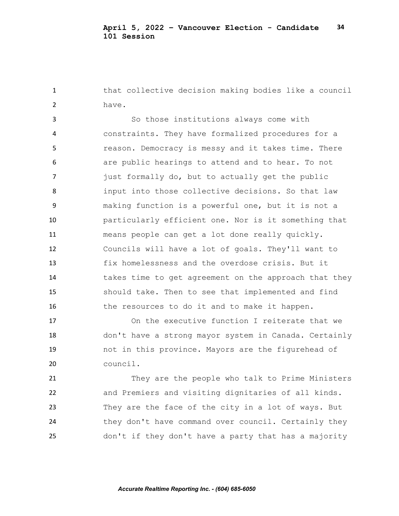that collective decision making bodies like a council have.

 So those institutions always come with constraints. They have formalized procedures for a reason. Democracy is messy and it takes time. There are public hearings to attend and to hear. To not just formally do, but to actually get the public input into those collective decisions. So that law making function is a powerful one, but it is not a particularly efficient one. Nor is it something that means people can get a lot done really quickly. Councils will have a lot of goals. They'll want to fix homelessness and the overdose crisis. But it takes time to get agreement on the approach that they should take. Then to see that implemented and find the resources to do it and to make it happen.

 On the executive function I reiterate that we don't have a strong mayor system in Canada. Certainly not in this province. Mayors are the figurehead of council.

 They are the people who talk to Prime Ministers and Premiers and visiting dignitaries of all kinds. They are the face of the city in a lot of ways. But they don't have command over council. Certainly they don't if they don't have a party that has a majority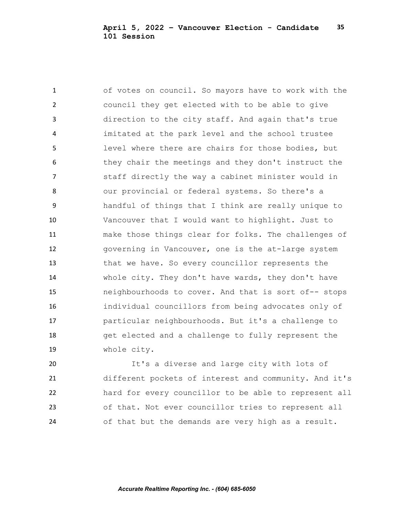of votes on council. So mayors have to work with the council they get elected with to be able to give direction to the city staff. And again that's true imitated at the park level and the school trustee level where there are chairs for those bodies, but they chair the meetings and they don't instruct the staff directly the way a cabinet minister would in our provincial or federal systems. So there's a handful of things that I think are really unique to Vancouver that I would want to highlight. Just to make those things clear for folks. The challenges of governing in Vancouver, one is the at-large system that we have. So every councillor represents the whole city. They don't have wards, they don't have neighbourhoods to cover. And that is sort of-- stops individual councillors from being advocates only of particular neighbourhoods. But it's a challenge to get elected and a challenge to fully represent the whole city.

 It's a diverse and large city with lots of different pockets of interest and community. And it's hard for every councillor to be able to represent all of that. Not ever councillor tries to represent all of that but the demands are very high as a result.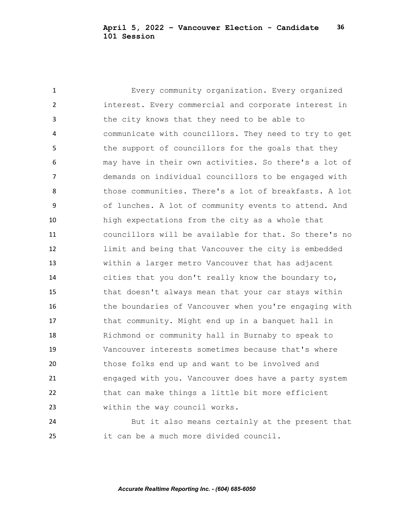Every community organization. Every organized interest. Every commercial and corporate interest in the city knows that they need to be able to communicate with councillors. They need to try to get 5 the support of councillors for the goals that they may have in their own activities. So there's a lot of demands on individual councillors to be engaged with those communities. There's a lot of breakfasts. A lot of lunches. A lot of community events to attend. And high expectations from the city as a whole that councillors will be available for that. So there's no limit and being that Vancouver the city is embedded within a larger metro Vancouver that has adjacent cities that you don't really know the boundary to, that doesn't always mean that your car stays within 16 the boundaries of Vancouver when you're engaging with 17 that community. Might end up in a banquet hall in Richmond or community hall in Burnaby to speak to Vancouver interests sometimes because that's where those folks end up and want to be involved and engaged with you. Vancouver does have a party system that can make things a little bit more efficient within the way council works.

 But it also means certainly at the present that it can be a much more divided council.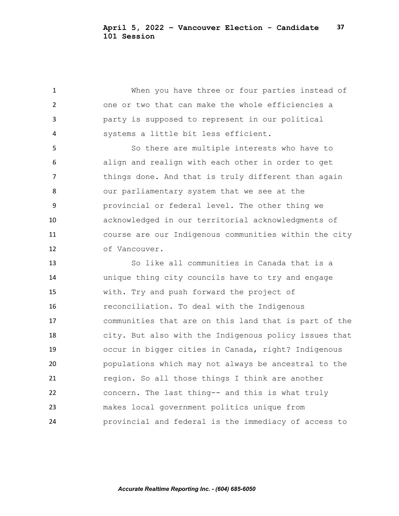When you have three or four parties instead of one or two that can make the whole efficiencies a party is supposed to represent in our political systems a little bit less efficient.

 So there are multiple interests who have to align and realign with each other in order to get 7 things done. And that is truly different than again our parliamentary system that we see at the provincial or federal level. The other thing we acknowledged in our territorial acknowledgments of course are our Indigenous communities within the city of Vancouver.

 So like all communities in Canada that is a unique thing city councils have to try and engage with. Try and push forward the project of reconciliation. To deal with the Indigenous communities that are on this land that is part of the city. But also with the Indigenous policy issues that occur in bigger cities in Canada, right? Indigenous populations which may not always be ancestral to the region. So all those things I think are another concern. The last thing-- and this is what truly makes local government politics unique from provincial and federal is the immediacy of access to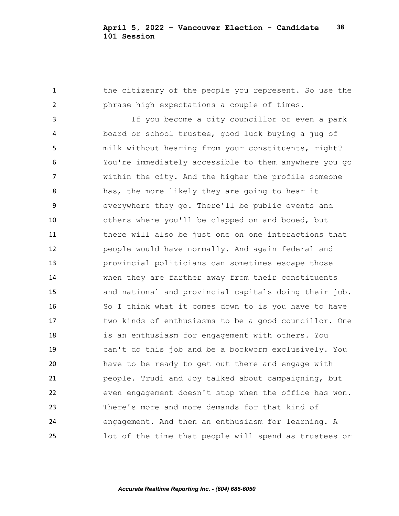the citizenry of the people you represent. So use the phrase high expectations a couple of times. If you become a city councillor or even a park board or school trustee, good luck buying a jug of milk without hearing from your constituents, right? You're immediately accessible to them anywhere you go within the city. And the higher the profile someone has, the more likely they are going to hear it everywhere they go. There'll be public events and others where you'll be clapped on and booed, but there will also be just one on one interactions that people would have normally. And again federal and provincial politicians can sometimes escape those when they are farther away from their constituents and national and provincial capitals doing their job. So I think what it comes down to is you have to have two kinds of enthusiasms to be a good councillor. One is an enthusiasm for engagement with others. You can't do this job and be a bookworm exclusively. You have to be ready to get out there and engage with people. Trudi and Joy talked about campaigning, but even engagement doesn't stop when the office has won. There's more and more demands for that kind of engagement. And then an enthusiasm for learning. A lot of the time that people will spend as trustees or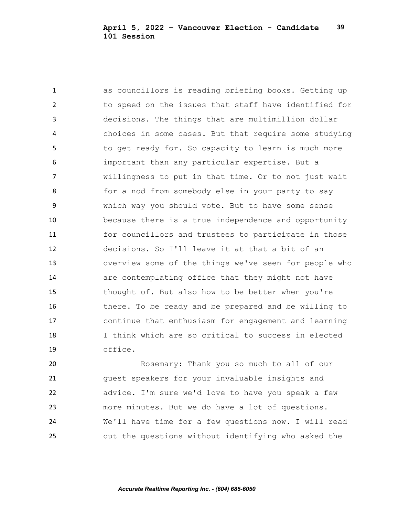as councillors is reading briefing books. Getting up to speed on the issues that staff have identified for decisions. The things that are multimillion dollar choices in some cases. But that require some studying 5 to get ready for. So capacity to learn is much more important than any particular expertise. But a willingness to put in that time. Or to not just wait 8 for a nod from somebody else in your party to say which way you should vote. But to have some sense because there is a true independence and opportunity for councillors and trustees to participate in those decisions. So I'll leave it at that a bit of an overview some of the things we've seen for people who are contemplating office that they might not have 15 thought of. But also how to be better when you're there. To be ready and be prepared and be willing to continue that enthusiasm for engagement and learning I think which are so critical to success in elected office.

 Rosemary: Thank you so much to all of our guest speakers for your invaluable insights and advice. I'm sure we'd love to have you speak a few more minutes. But we do have a lot of questions. We'll have time for a few questions now. I will read out the questions without identifying who asked the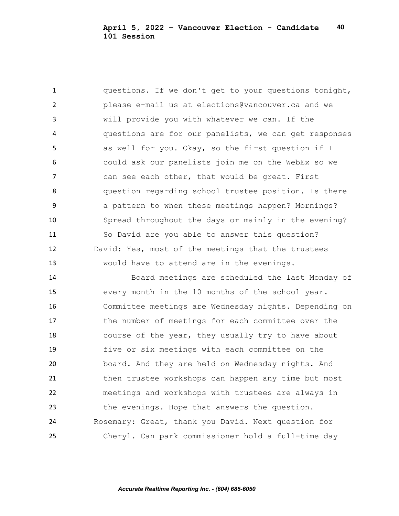questions. If we don't get to your questions tonight, please e-mail us at elections@vancouver.ca and we will provide you with whatever we can. If the questions are for our panelists, we can get responses as well for you. Okay, so the first question if I could ask our panelists join me on the WebEx so we 7 can see each other, that would be great. First question regarding school trustee position. Is there a pattern to when these meetings happen? Mornings? Spread throughout the days or mainly in the evening? So David are you able to answer this question? David: Yes, most of the meetings that the trustees would have to attend are in the evenings.

 Board meetings are scheduled the last Monday of every month in the 10 months of the school year. Committee meetings are Wednesday nights. Depending on the number of meetings for each committee over the 18 course of the year, they usually try to have about five or six meetings with each committee on the board. And they are held on Wednesday nights. And then trustee workshops can happen any time but most meetings and workshops with trustees are always in the evenings. Hope that answers the question. Rosemary: Great, thank you David. Next question for Cheryl. Can park commissioner hold a full-time day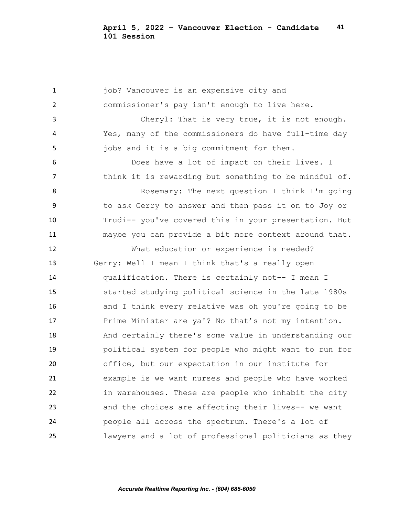**job?** Vancouver is an expensive city and commissioner's pay isn't enough to live here. Cheryl: That is very true, it is not enough. Yes, many of the commissioners do have full-time day 5 jobs and it is a big commitment for them. Does have a lot of impact on their lives. I think it is rewarding but something to be mindful of. Rosemary: The next question I think I'm going to ask Gerry to answer and then pass it on to Joy or Trudi-- you've covered this in your presentation. But maybe you can provide a bit more context around that. What education or experience is needed? Gerry: Well I mean I think that's a really open qualification. There is certainly not-- I mean I started studying political science in the late 1980s and I think every relative was oh you're going to be Prime Minister are ya'? No that's not my intention. And certainly there's some value in understanding our political system for people who might want to run for office, but our expectation in our institute for example is we want nurses and people who have worked in warehouses. These are people who inhabit the city and the choices are affecting their lives-- we want people all across the spectrum. There's a lot of lawyers and a lot of professional politicians as they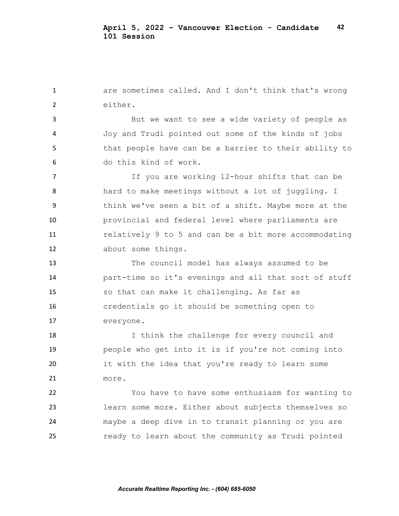are sometimes called. And I don't think that's wrong either.

 But we want to see a wide variety of people as Joy and Trudi pointed out some of the kinds of jobs 5 that people have can be a barrier to their ability to do this kind of work.

 If you are working 12-hour shifts that can be 8 hard to make meetings without a lot of juggling. I think we've seen a bit of a shift. Maybe more at the provincial and federal level where parliaments are relatively 9 to 5 and can be a bit more accommodating about some things.

 The council model has always assumed to be part-time so it's evenings and all that sort of stuff so that can make it challenging. As far as credentials go it should be something open to everyone.

 I think the challenge for every council and people who get into it is if you're not coming into it with the idea that you're ready to learn some more.

 You have to have some enthusiasm for wanting to learn some more. Either about subjects themselves so maybe a deep dive in to transit planning or you are ready to learn about the community as Trudi pointed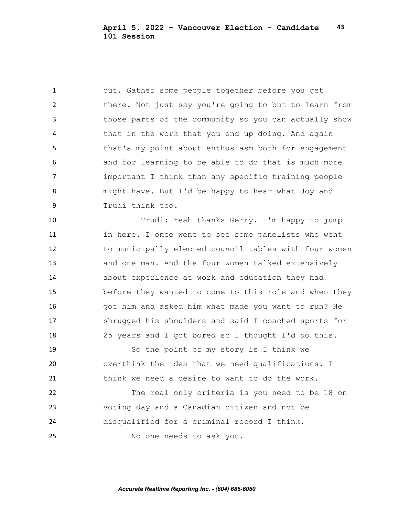out. Gather some people together before you get 2 there. Not just say you're going to but to learn from those parts of the community so you can actually show 4 that in the work that you end up doing. And again that's my point about enthusiasm both for engagement and for learning to be able to do that is much more important I think than any specific training people might have. But I'd be happy to hear what Joy and Trudi think too.

 Trudi: Yeah thanks Gerry. I'm happy to jump in here. I once went to see some panelists who went to municipally elected council tables with four women and one man. And the four women talked extensively about experience at work and education they had before they wanted to come to this role and when they got him and asked him what made you want to run? He shrugged his shoulders and said I coached sports for 25 years and I got bored so I thought I'd do this.

 So the point of my story is I think we overthink the idea that we need qualifications. I think we need a desire to want to do the work.

 The real only criteria is you need to be 18 on voting day and a Canadian citizen and not be disqualified for a criminal record I think. No one needs to ask you.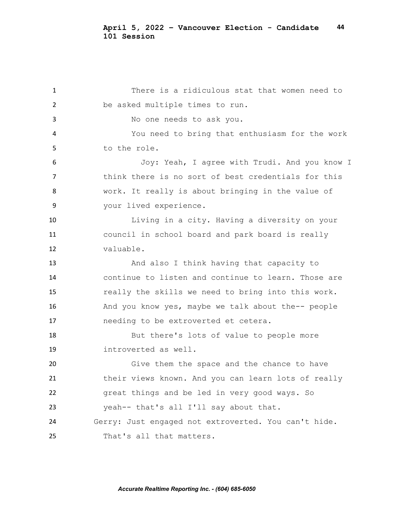There is a ridiculous stat that women need to be asked multiple times to run. No one needs to ask you. You need to bring that enthusiasm for the work to the role. Joy: Yeah, I agree with Trudi. And you know I think there is no sort of best credentials for this work. It really is about bringing in the value of your lived experience. Living in a city. Having a diversity on your council in school board and park board is really valuable. 13 And also I think having that capacity to continue to listen and continue to learn. Those are really the skills we need to bring into this work. And you know yes, maybe we talk about the-- people needing to be extroverted et cetera. But there's lots of value to people more introverted as well. Give them the space and the chance to have their views known. And you can learn lots of really great things and be led in very good ways. So yeah-- that's all I'll say about that. Gerry: Just engaged not extroverted. You can't hide. That's all that matters.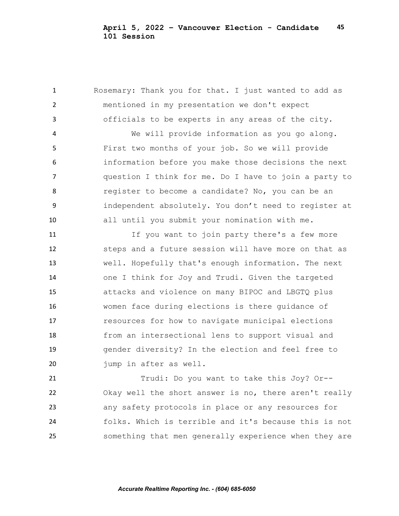Rosemary: Thank you for that. I just wanted to add as mentioned in my presentation we don't expect officials to be experts in any areas of the city.

 We will provide information as you go along. First two months of your job. So we will provide information before you make those decisions the next question I think for me. Do I have to join a party to register to become a candidate? No, you can be an independent absolutely. You don't need to register at all until you submit your nomination with me.

 If you want to join party there's a few more steps and a future session will have more on that as well. Hopefully that's enough information. The next one I think for Joy and Trudi. Given the targeted attacks and violence on many BIPOC and LBGTQ plus women face during elections is there guidance of resources for how to navigate municipal elections from an intersectional lens to support visual and gender diversity? In the election and feel free to 20 jump in after as well.

 Trudi: Do you want to take this Joy? Or-- Okay well the short answer is no, there aren't really any safety protocols in place or any resources for folks. Which is terrible and it's because this is not something that men generally experience when they are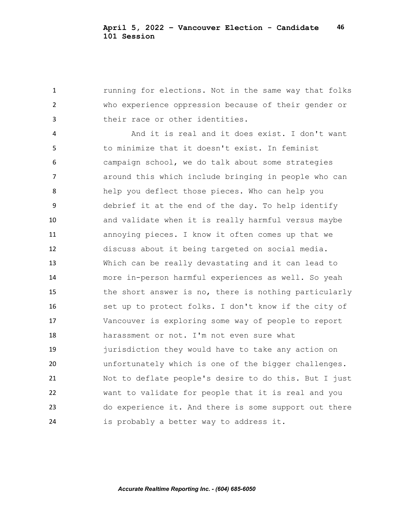**1** running for elections. Not in the same way that folks who experience oppression because of their gender or their race or other identities.

 And it is real and it does exist. I don't want to minimize that it doesn't exist. In feminist campaign school, we do talk about some strategies around this which include bringing in people who can help you deflect those pieces. Who can help you debrief it at the end of the day. To help identify and validate when it is really harmful versus maybe annoying pieces. I know it often comes up that we discuss about it being targeted on social media. Which can be really devastating and it can lead to more in-person harmful experiences as well. So yeah 15 the short answer is no, there is nothing particularly 16 set up to protect folks. I don't know if the city of Vancouver is exploring some way of people to report harassment or not. I'm not even sure what jurisdiction they would have to take any action on unfortunately which is one of the bigger challenges. Not to deflate people's desire to do this. But I just want to validate for people that it is real and you do experience it. And there is some support out there is probably a better way to address it.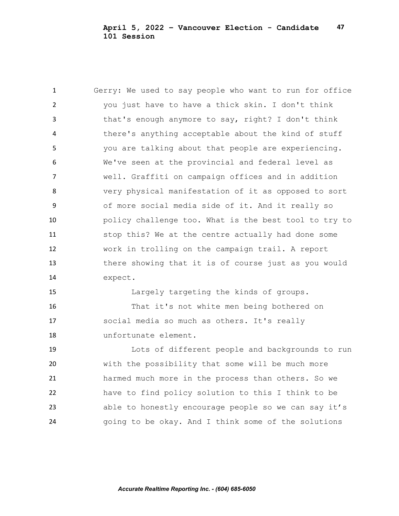Gerry: We used to say people who want to run for office you just have to have a thick skin. I don't think that's enough anymore to say, right? I don't think there's anything acceptable about the kind of stuff you are talking about that people are experiencing. We've seen at the provincial and federal level as well. Graffiti on campaign offices and in addition very physical manifestation of it as opposed to sort of more social media side of it. And it really so policy challenge too. What is the best tool to try to stop this? We at the centre actually had done some work in trolling on the campaign trail. A report there showing that it is of course just as you would expect. Largely targeting the kinds of groups.

 That it's not white men being bothered on social media so much as others. It's really unfortunate element.

 Lots of different people and backgrounds to run with the possibility that some will be much more harmed much more in the process than others. So we have to find policy solution to this I think to be able to honestly encourage people so we can say it's going to be okay. And I think some of the solutions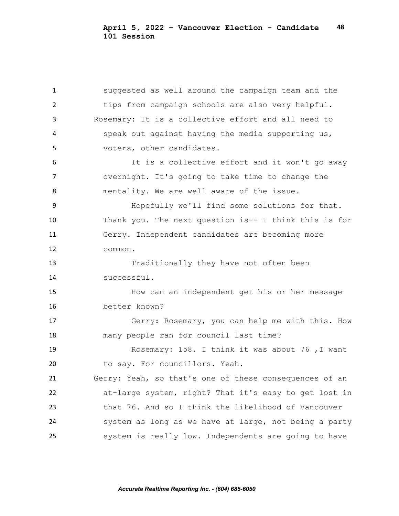suggested as well around the campaign team and the tips from campaign schools are also very helpful. Rosemary: It is a collective effort and all need to speak out against having the media supporting us, voters, other candidates. It is a collective effort and it won't go away overnight. It's going to take time to change the mentality. We are well aware of the issue. Hopefully we'll find some solutions for that. Thank you. The next question is-- I think this is for Gerry. Independent candidates are becoming more common. Traditionally they have not often been successful. How can an independent get his or her message better known? Gerry: Rosemary, you can help me with this. How many people ran for council last time? Rosemary: 158. I think it was about 76 ,I want to say. For councillors. Yeah. Gerry: Yeah, so that's one of these consequences of an at-large system, right? That it's easy to get lost in that 76. And so I think the likelihood of Vancouver system as long as we have at large, not being a party system is really low. Independents are going to have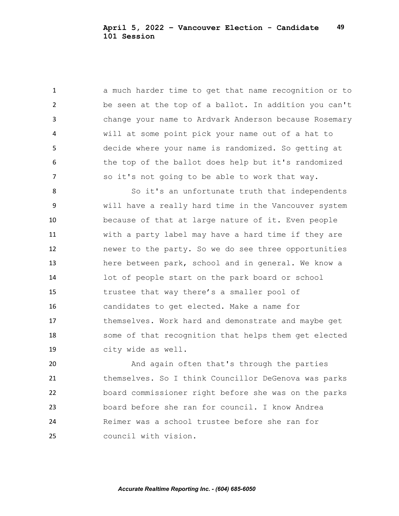a much harder time to get that name recognition or to be seen at the top of a ballot. In addition you can't change your name to Ardvark Anderson because Rosemary will at some point pick your name out of a hat to decide where your name is randomized. So getting at 6 the top of the ballot does help but it's randomized so it's not going to be able to work that way.

8 So it's an unfortunate truth that independents will have a really hard time in the Vancouver system because of that at large nature of it. Even people with a party label may have a hard time if they are newer to the party. So we do see three opportunities here between park, school and in general. We know a lot of people start on the park board or school trustee that way there's a smaller pool of candidates to get elected. Make a name for themselves. Work hard and demonstrate and maybe get some of that recognition that helps them get elected city wide as well.

 And again often that's through the parties themselves. So I think Councillor DeGenova was parks board commissioner right before she was on the parks board before she ran for council. I know Andrea Reimer was a school trustee before she ran for council with vision.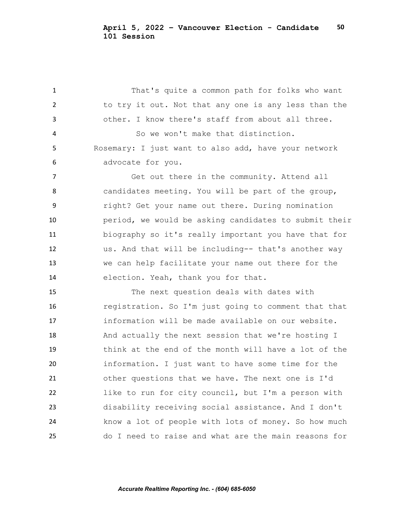That's quite a common path for folks who want to try it out. Not that any one is any less than the other. I know there's staff from about all three. So we won't make that distinction. Rosemary: I just want to also add, have your network advocate for you. Get out there in the community. Attend all 8 candidates meeting. You will be part of the group, right? Get your name out there. During nomination period, we would be asking candidates to submit their biography so it's really important you have that for us. And that will be including-- that's another way we can help facilitate your name out there for the election. Yeah, thank you for that. The next question deals with dates with registration. So I'm just going to comment that that information will be made available on our website. And actually the next session that we're hosting I think at the end of the month will have a lot of the information. I just want to have some time for the other questions that we have. The next one is I'd like to run for city council, but I'm a person with disability receiving social assistance. And I don't know a lot of people with lots of money. So how much do I need to raise and what are the main reasons for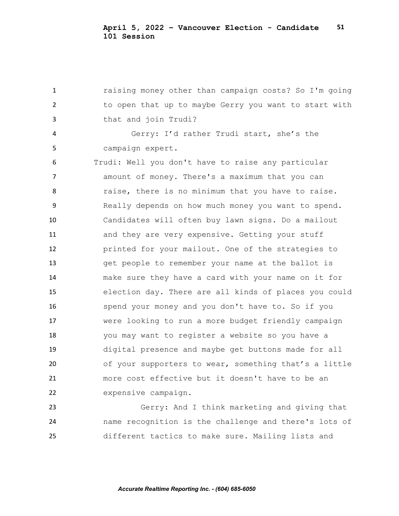raising money other than campaign costs? So I'm going to open that up to maybe Gerry you want to start with that and join Trudi? Gerry: I'd rather Trudi start, she's the campaign expert. Trudi: Well you don't have to raise any particular amount of money. There's a maximum that you can 8 raise, there is no minimum that you have to raise. Really depends on how much money you want to spend. Candidates will often buy lawn signs. Do a mailout 11 and they are very expensive. Getting your stuff printed for your mailout. One of the strategies to get people to remember your name at the ballot is make sure they have a card with your name on it for election day. There are all kinds of places you could spend your money and you don't have to. So if you were looking to run a more budget friendly campaign you may want to register a website so you have a digital presence and maybe get buttons made for all of your supporters to wear, something that's a little more cost effective but it doesn't have to be an expensive campaign. Gerry: And I think marketing and giving that

 name recognition is the challenge and there's lots of different tactics to make sure. Mailing lists and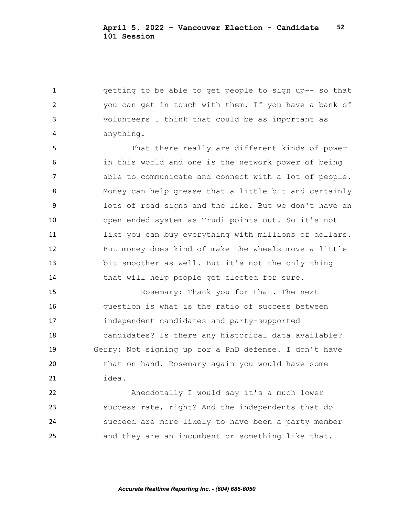getting to be able to get people to sign up-- so that you can get in touch with them. If you have a bank of volunteers I think that could be as important as anything.

 That there really are different kinds of power in this world and one is the network power of being able to communicate and connect with a lot of people. Money can help grease that a little bit and certainly lots of road signs and the like. But we don't have an open ended system as Trudi points out. So it's not like you can buy everything with millions of dollars. But money does kind of make the wheels move a little bit smoother as well. But it's not the only thing 14 that will help people get elected for sure.

 Rosemary: Thank you for that. The next question is what is the ratio of success between independent candidates and party-supported candidates? Is there any historical data available? Gerry: Not signing up for a PhD defense. I don't have 20 that on hand. Rosemary again you would have some idea.

 Anecdotally I would say it's a much lower success rate, right? And the independents that do succeed are more likely to have been a party member and they are an incumbent or something like that.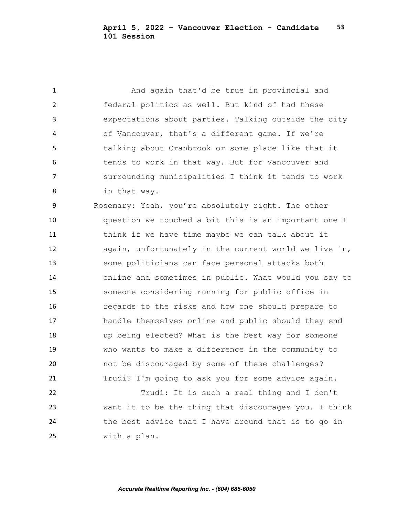And again that'd be true in provincial and federal politics as well. But kind of had these expectations about parties. Talking outside the city of Vancouver, that's a different game. If we're talking about Cranbrook or some place like that it 6 tends to work in that way. But for Vancouver and surrounding municipalities I think it tends to work in that way.

 Rosemary: Yeah, you're absolutely right. The other question we touched a bit this is an important one I think if we have time maybe we can talk about it again, unfortunately in the current world we live in, some politicians can face personal attacks both online and sometimes in public. What would you say to someone considering running for public office in regards to the risks and how one should prepare to handle themselves online and public should they end up being elected? What is the best way for someone who wants to make a difference in the community to not be discouraged by some of these challenges? Trudi? I'm going to ask you for some advice again.

 Trudi: It is such a real thing and I don't want it to be the thing that discourages you. I think the best advice that I have around that is to go in with a plan.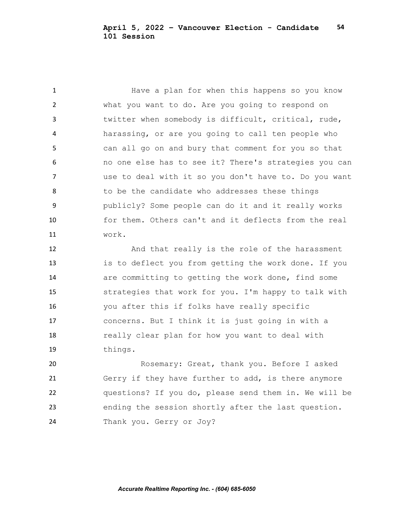Have a plan for when this happens so you know what you want to do. Are you going to respond on twitter when somebody is difficult, critical, rude, harassing, or are you going to call ten people who can all go on and bury that comment for you so that no one else has to see it? There's strategies you can use to deal with it so you don't have to. Do you want 8 to be the candidate who addresses these things publicly? Some people can do it and it really works for them. Others can't and it deflects from the real work.

 And that really is the role of the harassment is to deflect you from getting the work done. If you are committing to getting the work done, find some strategies that work for you. I'm happy to talk with you after this if folks have really specific concerns. But I think it is just going in with a really clear plan for how you want to deal with things.

 Rosemary: Great, thank you. Before I asked Gerry if they have further to add, is there anymore questions? If you do, please send them in. We will be ending the session shortly after the last question. Thank you. Gerry or Joy?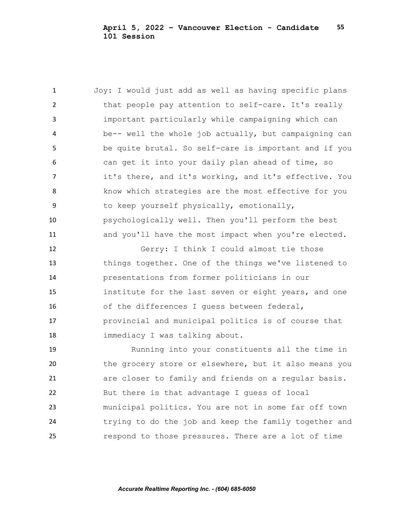Joy: I would just add as well as having specific plans that people pay attention to self-care. It's really important particularly while campaigning which can be-- well the whole job actually, but campaigning can be quite brutal. So self-care is important and if you can get it into your daily plan ahead of time, so 7 it's there, and it's working, and it's effective. You know which strategies are the most effective for you to keep yourself physically, emotionally, psychologically well. Then you'll perform the best 11 and you'll have the most impact when you're elected. Gerry: I think I could almost tie those things together. One of the things we've listened to presentations from former politicians in our institute for the last seven or eight years, and one of the differences I guess between federal, provincial and municipal politics is of course that immediacy I was talking about. Running into your constituents all the time in the grocery store or elsewhere, but it also means you are closer to family and friends on a regular basis. But there is that advantage I guess of local municipal politics. You are not in some far off town trying to do the job and keep the family together and respond to those pressures. There are a lot of time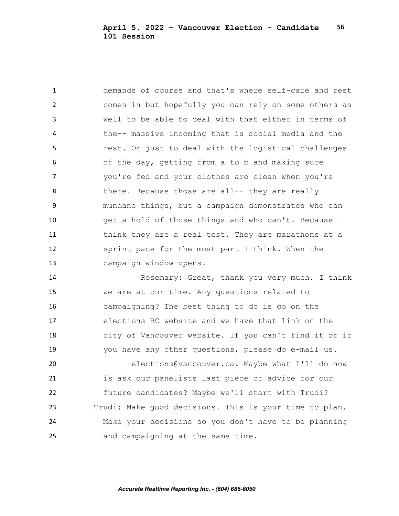demands of course and that's where self-care and rest comes in but hopefully you can rely on some others as well to be able to deal with that either in terms of the-- massive incoming that is social media and the **19 Fight** rest. Or just to deal with the logistical challenges of the day, getting from a to b and making sure you're fed and your clothes are clean when you're 8 there. Because those are all-- they are really mundane things, but a campaign demonstrates who can get a hold of those things and who can't. Because I 11 think they are a real test. They are marathons at a sprint pace for the most part I think. When the campaign window opens.

 Rosemary: Great, thank you very much. I think we are at our time. Any questions related to campaigning? The best thing to do is go on the elections BC website and we have that link on the city of Vancouver website. If you can't find it or if you have any other questions, please do e-mail us.

 elections@vancouver.ca. Maybe what I'll do now is ask our panelists last piece of advice for our future candidates? Maybe we'll start with Trudi? Trudi: Make good decisions. This is your time to plan. Make your decisions so you don't have to be planning and campaigning at the same time.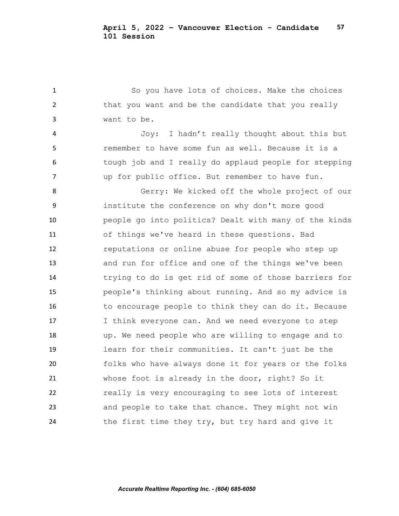So you have lots of choices. Make the choices 2 that you want and be the candidate that you really want to be. Joy: I hadn't really thought about this but remember to have some fun as well. Because it is a tough job and I really do applaud people for stepping up for public office. But remember to have fun. Gerry: We kicked off the whole project of our institute the conference on why don't more good people go into politics? Dealt with many of the kinds of things we've heard in these questions. Bad reputations or online abuse for people who step up and run for office and one of the things we've been trying to do is get rid of some of those barriers for people's thinking about running. And so my advice is 16 to encourage people to think they can do it. Because 17 I think everyone can. And we need everyone to step up. We need people who are willing to engage and to learn for their communities. It can't just be the folks who have always done it for years or the folks whose foot is already in the door, right? So it really is very encouraging to see lots of interest and people to take that chance. They might not win the first time they try, but try hard and give it